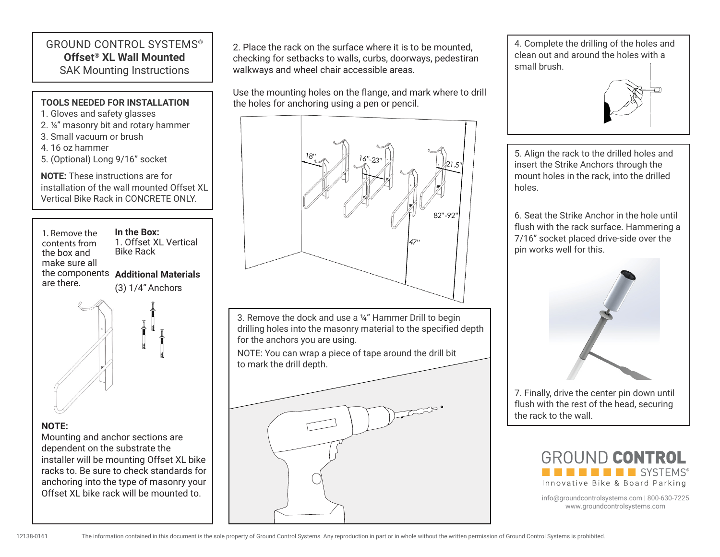## GROUND CONTROL SYSTEMS® **Offset**® **XL Wall Mounted** SAK Mounting Instructions

## 1. Remove the contents from the box and make sure all the components **Additional Materials** are there. **In the Box:** 1. Offset XL Vertical Bike Rack (3) 1/4"Anchors **TOOLS NEEDED FOR INSTALLATION** 1. Gloves and safety glasses 2. ¼" masonry bit and rotary hammer 3. Small vacuum or brush 4. 16 oz hammer 5. (Optional) Long 9/16" socket **NOTE:** These instructions are for installation of the wall mounted Offset XL Vertical Bike Rack in CONCRETE ONLY.

## **NOTE:**

Mounting and anchor sections are dependent on the substrate the installer will be mounting Offset XL bike racks to. Be sure to check standards for anchoring into the type of masonry your Offset XL bike rack will be mounted to.

2. Place the rack on the surface where it is to be mounted, checking for setbacks to walls, curbs, doorways, pedestiran walkways and wheel chair accessible areas.

Use the mounting holes on the flange, and mark where to drill the holes for anchoring using a pen or pencil.

## 47" 82"-92"  $18"$   $16"$ -23"  $\frac{1}{21.5"}$

3. Remove the dock and use a ¼" Hammer Drill to begin drilling holes into the masonry material to the specified depth for the anchors you are using.

NOTE: You can wrap a piece of tape around the drill bit to mark the drill depth.



4. Complete the drilling of the holes and clean out and around the holes with a small brush.



5. Align the rack to the drilled holes and insert the Strike Anchors through the mount holes in the rack, into the drilled holes.

6. Seat the Strike Anchor in the hole until flush with the rack surface. Hammering a 7/16" socket placed drive-side over the pin works well for this.



7. Finally, drive the center pin down until flush with the rest of the head, securing the rack to the wall.



info@groundcontrolsystems.com | 800-630-7225 www.groundcontrolsystems.com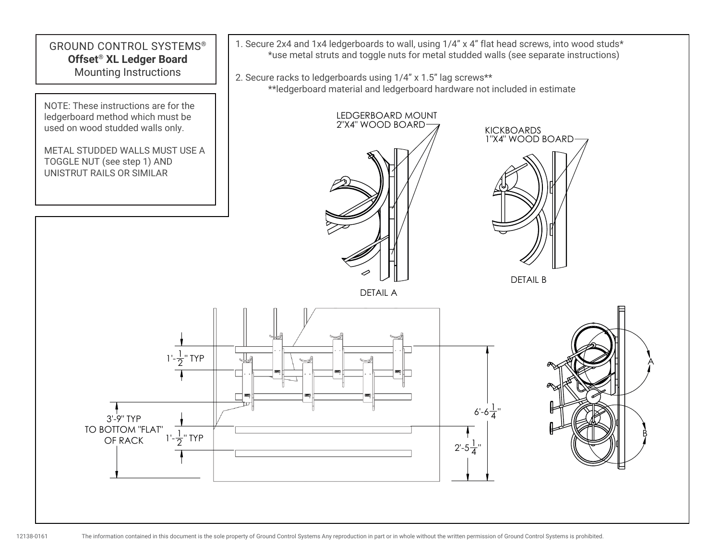